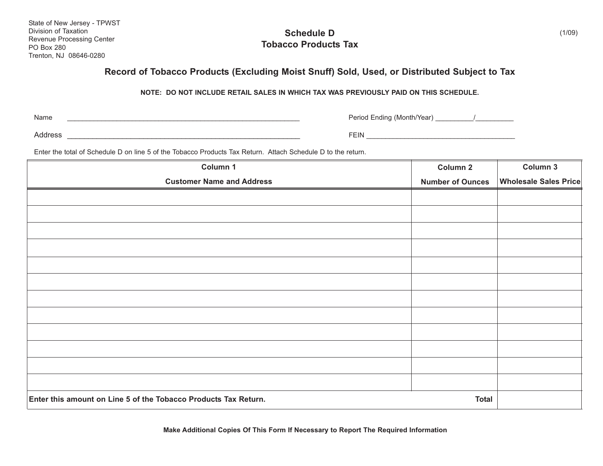State of New Jersey - TPWST Division of Taxation Revenue Processing Center PO Box 280 Trenton, NJ 08646-0280

**Schedule D Tobacco Products Tax**

## **Record of Tobacco Products (Excluding Moist Snuff) Sold, Used, or Distributed Subject to Tax**

**NOTE: DO NOT INCLUDE RETAIL SALES IN WHICH TAX WAS PREVIOUSLY PAID ON THIS SCHEDULE.**

Name

\_\_\_\_\_\_\_\_\_\_\_\_\_\_\_\_\_\_\_\_\_\_\_\_\_\_\_\_\_\_\_\_\_\_\_\_\_\_\_\_\_\_\_\_\_\_\_\_\_\_\_\_\_\_\_\_\_\_\_\_\_ Period Ending (Month/Year) \_\_\_\_\_\_\_\_\_\_/\_\_\_\_\_\_\_\_\_\_

Address \_\_\_\_\_\_\_\_\_\_\_\_\_\_\_\_\_\_\_\_\_\_\_\_\_\_\_\_\_\_\_\_\_\_\_\_\_\_\_\_\_\_\_\_\_\_\_\_\_\_\_\_\_\_\_ FEIN \_\_\_\_\_\_\_\_\_\_\_\_\_\_\_\_\_\_\_\_\_\_\_\_\_\_\_\_\_\_\_\_\_\_\_\_\_\_\_

Enter the total of Schedule D on line 5 of the Tobacco Products Tax Return. Attach Schedule D to the return.

| Column 1                                                        | Column 2                | Column 3                     |
|-----------------------------------------------------------------|-------------------------|------------------------------|
| <b>Customer Name and Address</b>                                | <b>Number of Ounces</b> | <b>Wholesale Sales Price</b> |
|                                                                 |                         |                              |
|                                                                 |                         |                              |
|                                                                 |                         |                              |
|                                                                 |                         |                              |
|                                                                 |                         |                              |
|                                                                 |                         |                              |
|                                                                 |                         |                              |
|                                                                 |                         |                              |
|                                                                 |                         |                              |
|                                                                 |                         |                              |
|                                                                 |                         |                              |
|                                                                 |                         |                              |
| Enter this amount on Line 5 of the Tobacco Products Tax Return. | <b>Total</b>            |                              |

**Make Additional Copies Of This Form If Necessary to Report The Required Information**